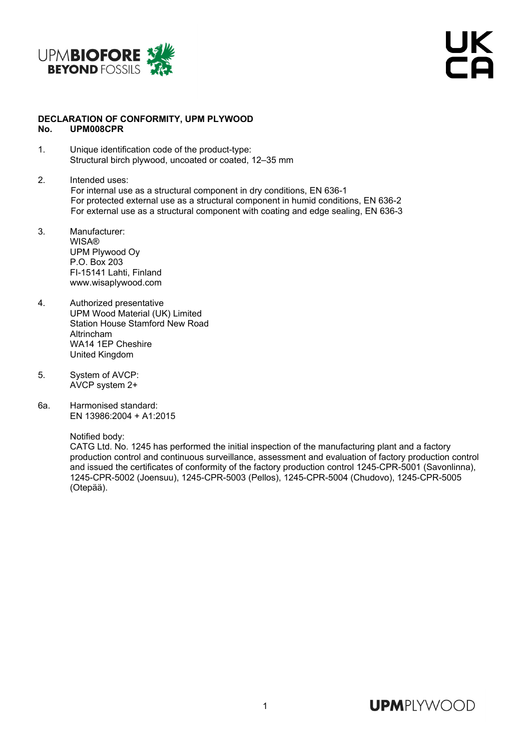

JK<br>Ta

## **DECLARATION OF CONFORMITY, UPM PLYWOOD No. UPM008CPR**

- 1. Unique identification code of the product-type: Structural birch plywood, uncoated or coated, 12–35 mm
- 2. Intended uses: For internal use as a structural component in dry conditions, EN 636-1 For protected external use as a structural component in humid conditions, EN 636-2 For external use as a structural component with coating and edge sealing, EN 636-3
- 3. Manufacturer: WISA® UPM Plywood Oy P.O. Box 203 FI-15141 Lahti, Finland www.wisaplywood.com
- 4. Authorized presentative UPM Wood Material (UK) Limited Station House Stamford New Road Altrincham WA14 1EP Cheshire United Kingdom
- 5. System of AVCP: AVCP system 2+
- 6a. Harmonised standard: EN 13986:2004 + A1:2015

Notified body:

 CATG Ltd. No. 1245 has performed the initial inspection of the manufacturing plant and a factory production control and continuous surveillance, assessment and evaluation of factory production control and issued the certificates of conformity of the factory production control 1245-CPR-5001 (Savonlinna), 1245-CPR-5002 (Joensuu), 1245-CPR-5003 (Pellos), 1245-CPR-5004 (Chudovo), 1245-CPR-5005 (Otepää).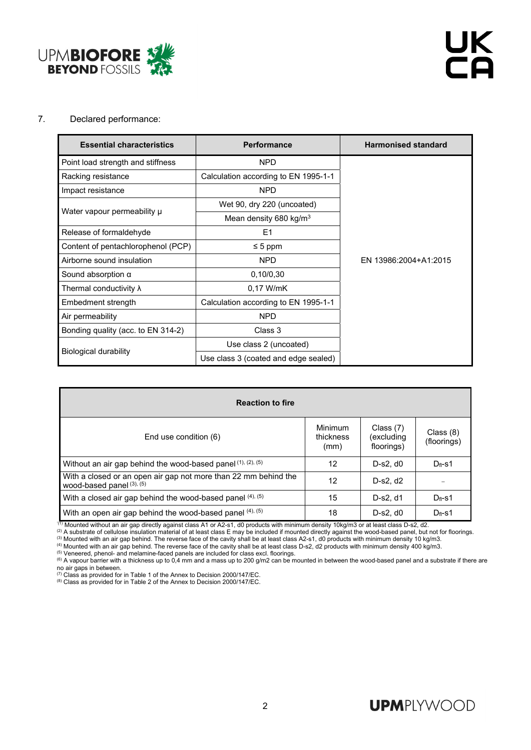

## 7. Declared performance:

| <b>Essential characteristics</b>   | <b>Performance</b>                   | <b>Harmonised standard</b> |  |  |  |
|------------------------------------|--------------------------------------|----------------------------|--|--|--|
| Point load strength and stiffness  | <b>NPD</b>                           |                            |  |  |  |
| Racking resistance                 | Calculation according to EN 1995-1-1 |                            |  |  |  |
| Impact resistance                  | <b>NPD</b>                           |                            |  |  |  |
|                                    | Wet 90, dry 220 (uncoated)           |                            |  |  |  |
| Water vapour permeability µ        | Mean density 680 kg/m <sup>3</sup>   |                            |  |  |  |
| Release of formaldehyde            | E <sub>1</sub>                       |                            |  |  |  |
| Content of pentachlorophenol (PCP) | $\leq 5$ ppm                         |                            |  |  |  |
| Airborne sound insulation          | <b>NPD</b>                           | EN 13986:2004+A1:2015      |  |  |  |
| Sound absorption $\alpha$          | 0,10/0,30                            |                            |  |  |  |
| Thermal conductivity $\lambda$     | 0.17 W/mK                            |                            |  |  |  |
| Embedment strength                 | Calculation according to EN 1995-1-1 |                            |  |  |  |
| Air permeability                   | <b>NPD</b>                           |                            |  |  |  |
| Bonding quality (acc. to EN 314-2) | Class 3                              |                            |  |  |  |
|                                    | Use class 2 (uncoated)               |                            |  |  |  |
| Biological durability              | Use class 3 (coated and edge sealed) |                            |  |  |  |

| <b>Reaction to fire</b>                                                                           |                                     |                                         |                            |  |  |  |  |  |  |  |
|---------------------------------------------------------------------------------------------------|-------------------------------------|-----------------------------------------|----------------------------|--|--|--|--|--|--|--|
| End use condition (6)                                                                             | <b>Minimum</b><br>thickness<br>(mm) | Class $(7)$<br>excluding)<br>floorings) | Class $(8)$<br>(floorings) |  |  |  |  |  |  |  |
| Without an air gap behind the wood-based panel $(1)$ , $(2)$ , $(5)$                              | 12                                  | $D-s2. d0$                              | $D_{fi}$ -s1               |  |  |  |  |  |  |  |
| With a closed or an open air gap not more than 22 mm behind the<br>wood-based panel $(3)$ , $(5)$ | 12                                  | D-s2, d2                                |                            |  |  |  |  |  |  |  |
| With a closed air gap behind the wood-based panel (4), (5)                                        | 15                                  | D-s2, d1                                | $D_{fi}$ -s1               |  |  |  |  |  |  |  |
| With an open air gap behind the wood-based panel (4), (5)                                         | 18                                  | $D-s2. d0$                              | $D_{fl}$ -s1               |  |  |  |  |  |  |  |

<sup>(1)</sup> Mounted without an air gap directly against class A1 or A2-s1, d0 products with minimum density 10kg/m3 or at least class D-s2, d2.<br><sup>(2)</sup> A substrate of cellulose insulation material of at least class E may be inclu no air gaps in between.<br>
The discussion of the Annex to Decision 2000/147/EC.<br>
<sup>(7)</sup> Class as provided for in Table 1 of the Annex to Decision 2000/147/EC.

(7) Class as provided for in Table 1 of the Annex to Decision 2000/147/EC. (8) Class as provided for in Table 2 of the Annex to Decision 2000/147/EC.